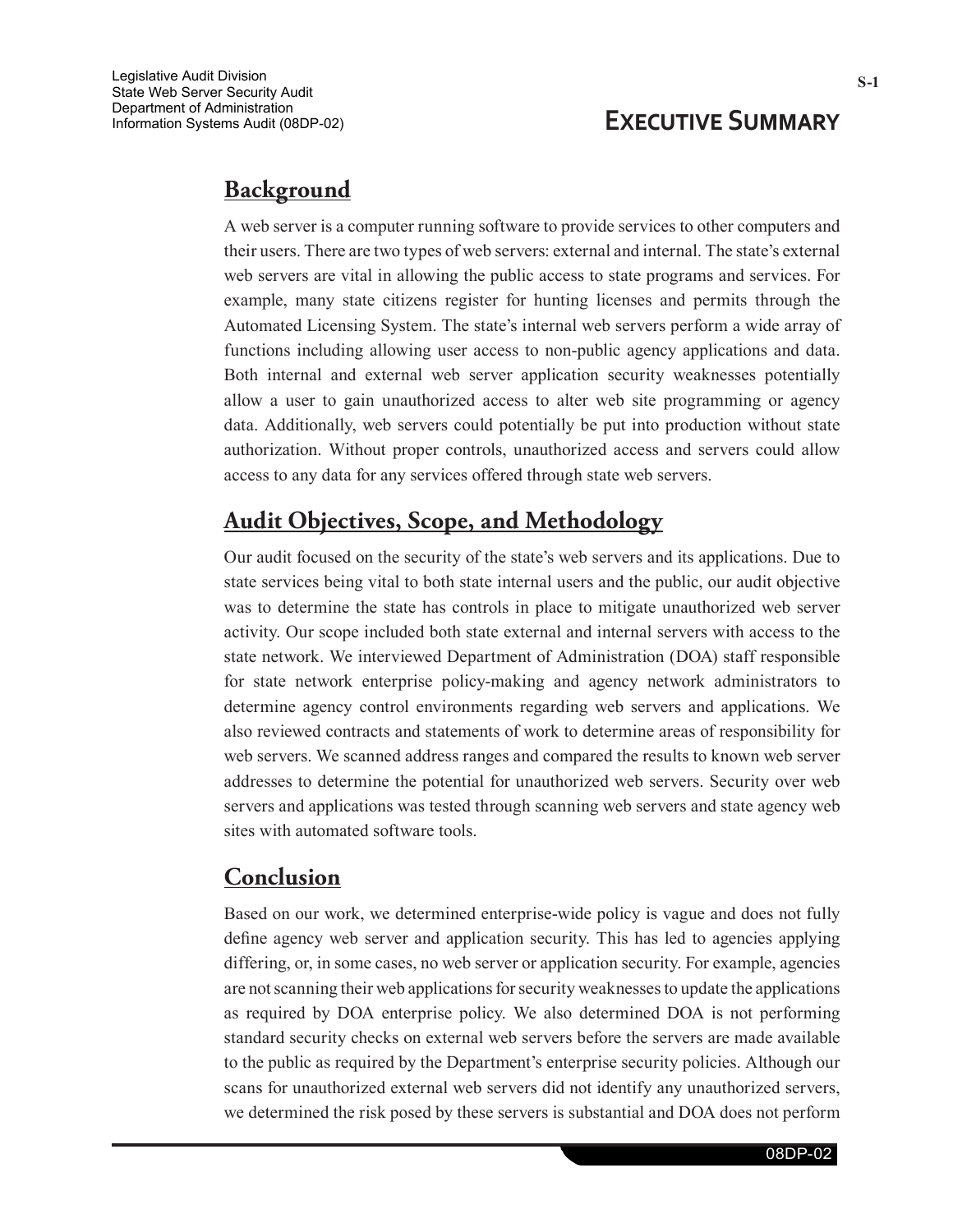## **Executive Summary**

## **Background**

A web server is a computer running software to provide services to other computers and their users. There are two types of web servers: external and internal. The state's external web servers are vital in allowing the public access to state programs and services. For example, many state citizens register for hunting licenses and permits through the Automated Licensing System. The state's internal web servers perform a wide array of functions including allowing user access to non-public agency applications and data. Both internal and external web server application security weaknesses potentially allow a user to gain unauthorized access to alter web site programming or agency data. Additionally, web servers could potentially be put into production without state authorization. Without proper controls, unauthorized access and servers could allow access to any data for any services offered through state web servers.

## **Audit Objectives, Scope, and Methodology**

Our audit focused on the security of the state's web servers and its applications. Due to state services being vital to both state internal users and the public, our audit objective was to determine the state has controls in place to mitigate unauthorized web server activity. Our scope included both state external and internal servers with access to the state network. We interviewed Department of Administration (DOA) staff responsible for state network enterprise policy-making and agency network administrators to determine agency control environments regarding web servers and applications. We also reviewed contracts and statements of work to determine areas of responsibility for web servers. We scanned address ranges and compared the results to known web server addresses to determine the potential for unauthorized web servers. Security over web servers and applications was tested through scanning web servers and state agency web sites with automated software tools.

## **Conclusion**

Based on our work, we determined enterprise-wide policy is vague and does not fully define agency web server and application security. This has led to agencies applying differing, or, in some cases, no web server or application security. For example, agencies are not scanning their web applications for security weaknesses to update the applications as required by DOA enterprise policy. We also determined DOA is not performing standard security checks on external web servers before the servers are made available to the public as required by the Department's enterprise security policies. Although our scans for unauthorized external web servers did not identify any unauthorized servers, we determined the risk posed by these servers is substantial and DOA does not perform